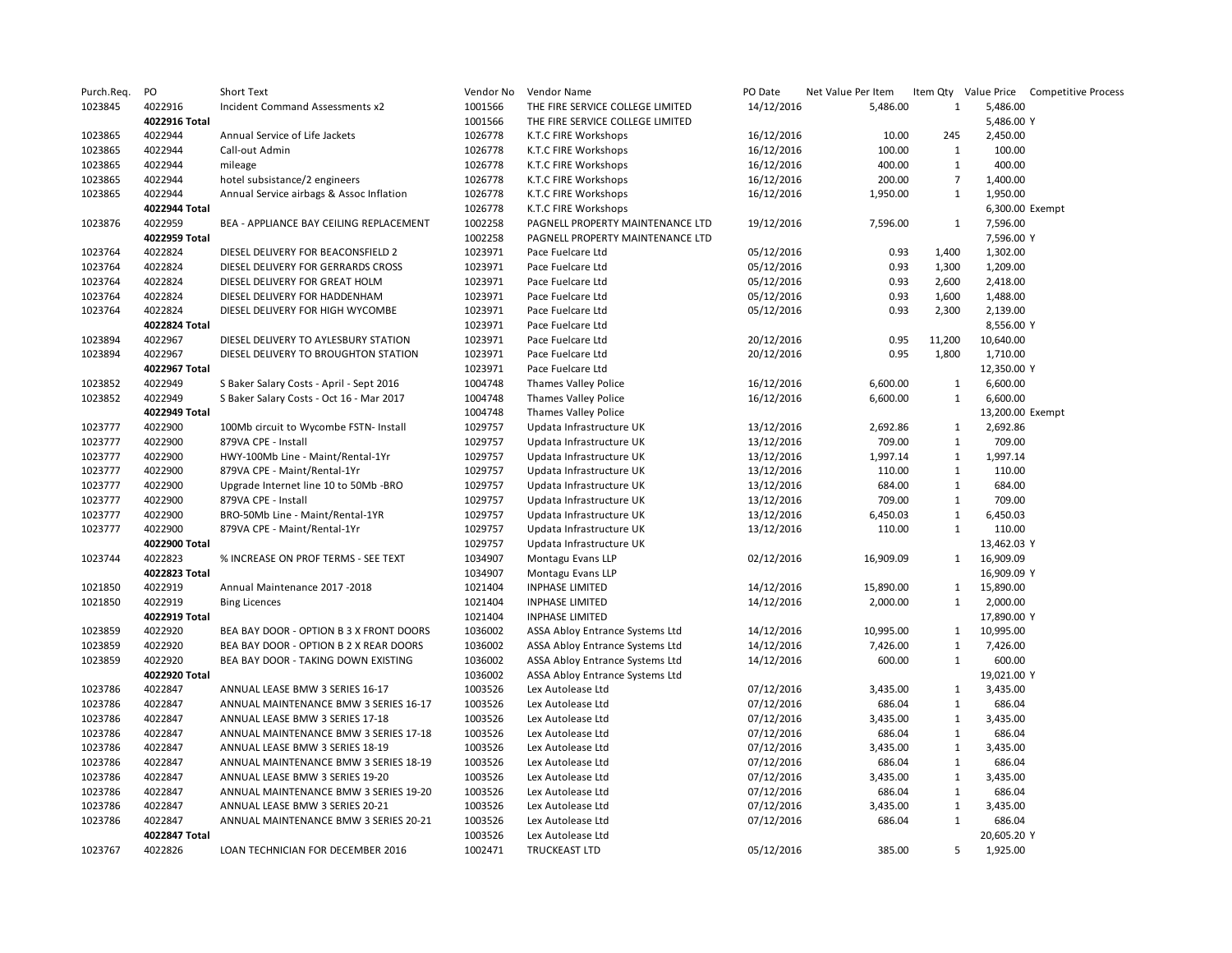| Purch.Req.         | PO                 | Short Text                               | Vendor No          | Vendor Name                      | PO Date    | Net Value Per Item |                   |                  | Item Qty Value Price Competitive Process |
|--------------------|--------------------|------------------------------------------|--------------------|----------------------------------|------------|--------------------|-------------------|------------------|------------------------------------------|
| 1023845            | 4022916            | Incident Command Assessments x2          | 1001566            | THE FIRE SERVICE COLLEGE LIMITED | 14/12/2016 | 5,486.00           | 1                 | 5,486.00         |                                          |
|                    | 4022916 Total      |                                          | 1001566            | THE FIRE SERVICE COLLEGE LIMITED |            |                    |                   | 5,486.00 Y       |                                          |
| 1023865            | 4022944            | Annual Service of Life Jackets           | 1026778            | K.T.C FIRE Workshops             | 16/12/2016 | 10.00              | 245               | 2,450.00         |                                          |
| 1023865            | 4022944            | Call-out Admin                           | 1026778            | K.T.C FIRE Workshops             | 16/12/2016 | 100.00             | $\mathbf{1}$      | 100.00           |                                          |
| 1023865            | 4022944            | mileage                                  | 1026778            | K.T.C FIRE Workshops             | 16/12/2016 | 400.00             | $\mathbf{1}$      | 400.00           |                                          |
| 1023865            | 4022944            | hotel subsistance/2 engineers            | 1026778            | K.T.C FIRE Workshops             | 16/12/2016 | 200.00             | $\overline{7}$    | 1,400.00         |                                          |
| 1023865            | 4022944            | Annual Service airbags & Assoc Inflation | 1026778            | K.T.C FIRE Workshops             | 16/12/2016 | 1,950.00           | $\mathbf{1}$      | 1,950.00         |                                          |
|                    | 4022944 Total      |                                          | 1026778            | K.T.C FIRE Workshops             |            |                    |                   |                  | 6,300.00 Exempt                          |
| 1023876            | 4022959            | BEA - APPLIANCE BAY CEILING REPLACEMENT  | 1002258            | PAGNELL PROPERTY MAINTENANCE LTD | 19/12/2016 | 7,596.00           | $\mathbf{1}$      | 7,596.00         |                                          |
|                    | 4022959 Total      |                                          | 1002258            | PAGNELL PROPERTY MAINTENANCE LTD |            |                    |                   | 7,596.00 Y       |                                          |
| 1023764            | 4022824            | DIESEL DELIVERY FOR BEACONSFIELD 2       | 1023971            | Pace Fuelcare Ltd                | 05/12/2016 | 0.93               | 1,400             | 1,302.00         |                                          |
| 1023764            | 4022824            | DIESEL DELIVERY FOR GERRARDS CROSS       | 1023971            | Pace Fuelcare Ltd                | 05/12/2016 | 0.93               | 1,300             | 1,209.00         |                                          |
| 1023764            | 4022824            | DIESEL DELIVERY FOR GREAT HOLM           | 1023971            | Pace Fuelcare Ltd                | 05/12/2016 | 0.93               | 2,600             | 2,418.00         |                                          |
| 1023764            | 4022824            | DIESEL DELIVERY FOR HADDENHAM            | 1023971            | Pace Fuelcare Ltd                | 05/12/2016 | 0.93               | 1,600             | 1,488.00         |                                          |
| 1023764            | 4022824            | DIESEL DELIVERY FOR HIGH WYCOMBE         | 1023971            | Pace Fuelcare Ltd                | 05/12/2016 | 0.93               | 2,300             | 2,139.00         |                                          |
|                    | 4022824 Total      |                                          | 1023971            | Pace Fuelcare Ltd                |            |                    |                   | 8,556.00 Y       |                                          |
| 1023894            | 4022967            | DIESEL DELIVERY TO AYLESBURY STATION     | 1023971            | Pace Fuelcare Ltd                | 20/12/2016 | 0.95               | 11,200            | 10,640.00        |                                          |
| 1023894            | 4022967            | DIESEL DELIVERY TO BROUGHTON STATION     | 1023971            | Pace Fuelcare Ltd                | 20/12/2016 | 0.95               | 1,800             | 1,710.00         |                                          |
|                    | 4022967 Total      |                                          | 1023971            | Pace Fuelcare Ltd                |            |                    |                   | 12,350.00 Y      |                                          |
| 1023852            | 4022949            | S Baker Salary Costs - April - Sept 2016 | 1004748            | Thames Valley Police             | 16/12/2016 | 6,600.00           | 1                 | 6,600.00         |                                          |
| 1023852            | 4022949            | S Baker Salary Costs - Oct 16 - Mar 2017 | 1004748            | <b>Thames Valley Police</b>      | 16/12/2016 | 6,600.00           | $\mathbf{1}$      | 6,600.00         |                                          |
|                    | 4022949 Total      |                                          | 1004748            | Thames Valley Police             |            |                    |                   | 13,200.00 Exempt |                                          |
| 1023777            | 4022900            | 100Mb circuit to Wycombe FSTN- Install   | 1029757            | Updata Infrastructure UK         | 13/12/2016 | 2,692.86           |                   | 2,692.86         |                                          |
|                    |                    | 879VA CPE - Install                      | 1029757            |                                  |            |                    | 1<br>$\mathbf{1}$ | 709.00           |                                          |
| 1023777            | 4022900<br>4022900 |                                          |                    | Updata Infrastructure UK         | 13/12/2016 | 709.00             | $\mathbf{1}$      |                  |                                          |
| 1023777            |                    | HWY-100Mb Line - Maint/Rental-1Yr        | 1029757            | Updata Infrastructure UK         | 13/12/2016 | 1,997.14           | $\mathbf{1}$      | 1,997.14         |                                          |
| 1023777<br>1023777 | 4022900            | 879VA CPE - Maint/Rental-1Yr             | 1029757<br>1029757 | Updata Infrastructure UK         | 13/12/2016 | 110.00             |                   | 110.00           |                                          |
|                    | 4022900            | Upgrade Internet line 10 to 50Mb -BRO    |                    | Updata Infrastructure UK         | 13/12/2016 | 684.00             | $\mathbf{1}$      | 684.00           |                                          |
| 1023777            | 4022900            | 879VA CPE - Install                      | 1029757            | Updata Infrastructure UK         | 13/12/2016 | 709.00             | $\mathbf{1}$      | 709.00           |                                          |
| 1023777            | 4022900            | BRO-50Mb Line - Maint/Rental-1YR         | 1029757            | Updata Infrastructure UK         | 13/12/2016 | 6,450.03           | $\mathbf{1}$      | 6,450.03         |                                          |
| 1023777            | 4022900            | 879VA CPE - Maint/Rental-1Yr             | 1029757            | Updata Infrastructure UK         | 13/12/2016 | 110.00             | $\mathbf{1}$      | 110.00           |                                          |
|                    | 4022900 Total      |                                          | 1029757            | Updata Infrastructure UK         |            |                    |                   | 13,462.03 Y      |                                          |
| 1023744            | 4022823            | % INCREASE ON PROF TERMS - SEE TEXT      | 1034907            | Montagu Evans LLP                | 02/12/2016 | 16,909.09          | 1                 | 16,909.09        |                                          |
|                    | 4022823 Total      |                                          | 1034907            | Montagu Evans LLP                |            |                    |                   | 16,909.09 Y      |                                          |
| 1021850            | 4022919            | Annual Maintenance 2017 -2018            | 1021404            | <b>INPHASE LIMITED</b>           | 14/12/2016 | 15,890.00          | $\mathbf{1}$      | 15,890.00        |                                          |
| 1021850            | 4022919            | <b>Bing Licences</b>                     | 1021404            | <b>INPHASE LIMITED</b>           | 14/12/2016 | 2,000.00           | $\mathbf{1}$      | 2,000.00         |                                          |
|                    | 4022919 Total      |                                          | 1021404            | <b>INPHASE LIMITED</b>           |            |                    |                   | 17,890.00 Y      |                                          |
| 1023859            | 4022920            | BEA BAY DOOR - OPTION B 3 X FRONT DOORS  | 1036002            | ASSA Abloy Entrance Systems Ltd  | 14/12/2016 | 10,995.00          | $\mathbf{1}$      | 10,995.00        |                                          |
| 1023859            | 4022920            | BEA BAY DOOR - OPTION B 2 X REAR DOORS   | 1036002            | ASSA Abloy Entrance Systems Ltd  | 14/12/2016 | 7,426.00           | $\mathbf{1}$      | 7,426.00         |                                          |
| 1023859            | 4022920            | BEA BAY DOOR - TAKING DOWN EXISTING      | 1036002            | ASSA Abloy Entrance Systems Ltd  | 14/12/2016 | 600.00             | $\mathbf{1}$      | 600.00           |                                          |
|                    | 4022920 Total      |                                          | 1036002            | ASSA Abloy Entrance Systems Ltd  |            |                    |                   | 19,021.00 Y      |                                          |
| 1023786            | 4022847            | ANNUAL LEASE BMW 3 SERIES 16-17          | 1003526            | Lex Autolease Ltd                | 07/12/2016 | 3,435.00           | $\mathbf{1}$      | 3,435.00         |                                          |
| 1023786            | 4022847            | ANNUAL MAINTENANCE BMW 3 SERIES 16-17    | 1003526            | Lex Autolease Ltd                | 07/12/2016 | 686.04             | $\mathbf{1}$      | 686.04           |                                          |
| 1023786            | 4022847            | ANNUAL LEASE BMW 3 SERIES 17-18          | 1003526            | Lex Autolease Ltd                | 07/12/2016 | 3,435.00           | $\mathbf{1}$      | 3,435.00         |                                          |
| 1023786            | 4022847            | ANNUAL MAINTENANCE BMW 3 SERIES 17-18    | 1003526            | Lex Autolease Ltd                | 07/12/2016 | 686.04             | $\mathbf{1}$      | 686.04           |                                          |
| 1023786            | 4022847            | ANNUAL LEASE BMW 3 SERIES 18-19          | 1003526            | Lex Autolease Ltd                | 07/12/2016 | 3,435.00           | $\mathbf{1}$      | 3,435.00         |                                          |
| 1023786            | 4022847            | ANNUAL MAINTENANCE BMW 3 SERIES 18-19    | 1003526            | Lex Autolease Ltd                | 07/12/2016 | 686.04             | $\mathbf{1}$      | 686.04           |                                          |
| 1023786            | 4022847            | ANNUAL LEASE BMW 3 SERIES 19-20          | 1003526            | Lex Autolease Ltd                | 07/12/2016 | 3,435.00           | $\mathbf{1}$      | 3,435.00         |                                          |
| 1023786            | 4022847            | ANNUAL MAINTENANCE BMW 3 SERIES 19-20    | 1003526            | Lex Autolease Ltd                | 07/12/2016 | 686.04             | $\mathbf{1}$      | 686.04           |                                          |
| 1023786            | 4022847            | ANNUAL LEASE BMW 3 SERIES 20-21          | 1003526            | Lex Autolease Ltd                | 07/12/2016 | 3,435.00           | $\mathbf{1}$      | 3,435.00         |                                          |
| 1023786            | 4022847            | ANNUAL MAINTENANCE BMW 3 SERIES 20-21    | 1003526            | Lex Autolease Ltd                | 07/12/2016 | 686.04             | $\mathbf{1}$      | 686.04           |                                          |
|                    | 4022847 Total      |                                          | 1003526            | Lex Autolease Ltd                |            |                    |                   | 20,605.20 Y      |                                          |
| 1023767            | 4022826            | LOAN TECHNICIAN FOR DECEMBER 2016        | 1002471            | <b>TRUCKEAST LTD</b>             | 05/12/2016 | 385.00             | 5                 | 1,925.00         |                                          |